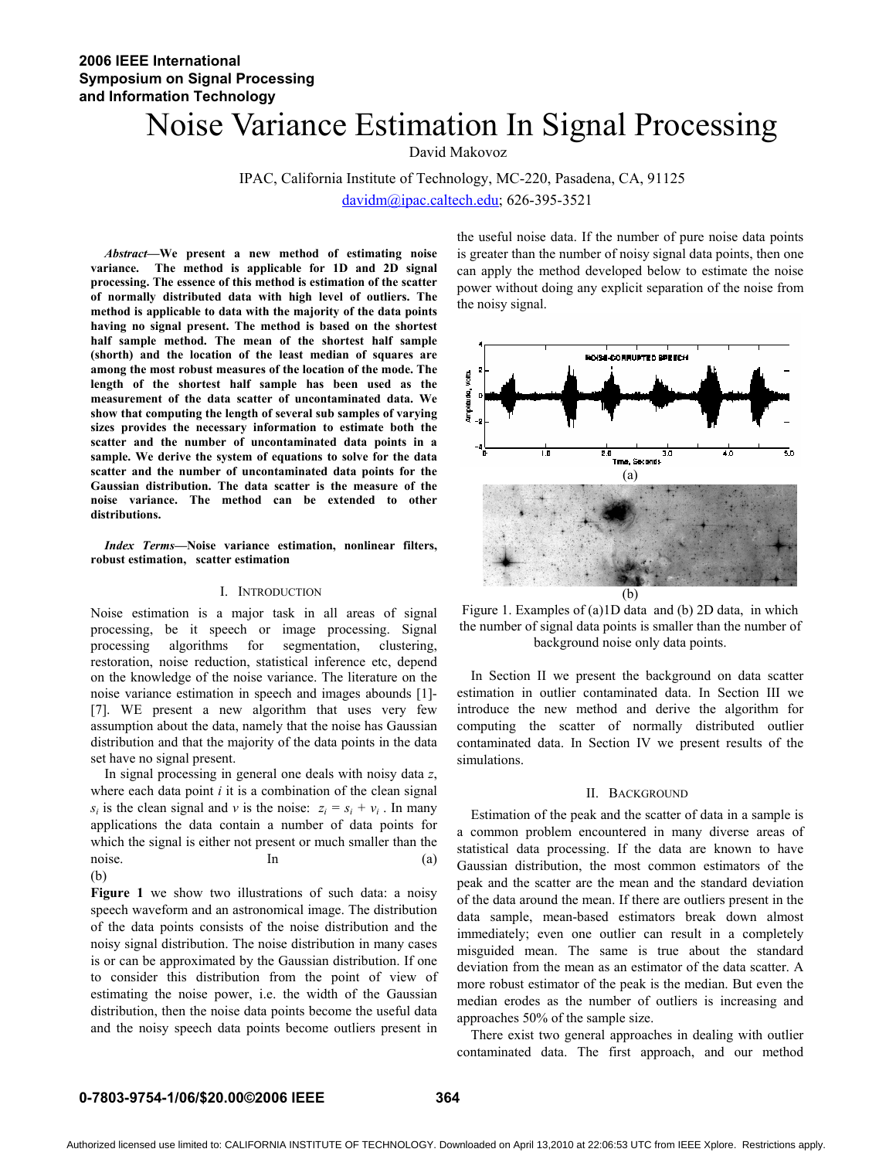# Noise Variance Estimation In Signal Processing

David Makovoz

IPAC, California Institute of Technology, MC-220, Pasadena, CA, 91125

davidm@ipac.caltech.edu; 626-395-3521

*Abstract***—We present a new method of estimating noise variance. The method is applicable for 1D and 2D signal processing. The essence of this method is estimation of the scatter of normally distributed data with high level of outliers. The method is applicable to data with the majority of the data points having no signal present. The method is based on the shortest half sample method. The mean of the shortest half sample (shorth) and the location of the least median of squares are among the most robust measures of the location of the mode. The length of the shortest half sample has been used as the measurement of the data scatter of uncontaminated data. We show that computing the length of several sub samples of varying sizes provides the necessary information to estimate both the scatter and the number of uncontaminated data points in a sample. We derive the system of equations to solve for the data scatter and the number of uncontaminated data points for the Gaussian distribution. The data scatter is the measure of the noise variance. The method can be extended to other distributions.** 

*Index Terms***—Noise variance estimation, nonlinear filters, robust estimation, scatter estimation** 

### I. INTRODUCTION

Noise estimation is a major task in all areas of signal processing, be it speech or image processing. Signal processing algorithms for segmentation, clustering, restoration, noise reduction, statistical inference etc, depend on the knowledge of the noise variance. The literature on the noise variance estimation in speech and images abounds [1]- [7]. WE present a new algorithm that uses very few assumption about the data, namely that the noise has Gaussian distribution and that the majority of the data points in the data set have no signal present.

In signal processing in general one deals with noisy data *z*, where each data point *i* it is a combination of the clean signal  $s_i$  is the clean signal and *v* is the noise:  $z_i = s_i + v_i$ . In many applications the data contain a number of data points for which the signal is either not present or much smaller than the noise. In (a) (b)

**Figure 1** we show two illustrations of such data: a noisy speech waveform and an astronomical image. The distribution of the data points consists of the noise distribution and the noisy signal distribution. The noise distribution in many cases is or can be approximated by the Gaussian distribution. If one to consider this distribution from the point of view of estimating the noise power, i.e. the width of the Gaussian distribution, then the noise data points become the useful data and the noisy speech data points become outliers present in the useful noise data. If the number of pure noise data points is greater than the number of noisy signal data points, then one can apply the method developed below to estimate the noise power without doing any explicit separation of the noise from the noisy signal.



Figure 1. Examples of (a)1D data and (b) 2D data, in which the number of signal data points is smaller than the number of background noise only data points.

In Section II we present the background on data scatter estimation in outlier contaminated data. In Section III we introduce the new method and derive the algorithm for computing the scatter of normally distributed outlier contaminated data. In Section IV we present results of the simulations.

#### II. BACKGROUND

Estimation of the peak and the scatter of data in a sample is a common problem encountered in many diverse areas of statistical data processing. If the data are known to have Gaussian distribution, the most common estimators of the peak and the scatter are the mean and the standard deviation of the data around the mean. If there are outliers present in the data sample, mean-based estimators break down almost immediately; even one outlier can result in a completely misguided mean. The same is true about the standard deviation from the mean as an estimator of the data scatter. A more robust estimator of the peak is the median. But even the median erodes as the number of outliers is increasing and approaches 50% of the sample size.

There exist two general approaches in dealing with outlier contaminated data. The first approach, and our method

## **0-7803-9754-1/06/\$20.00©2006 IEEE 364**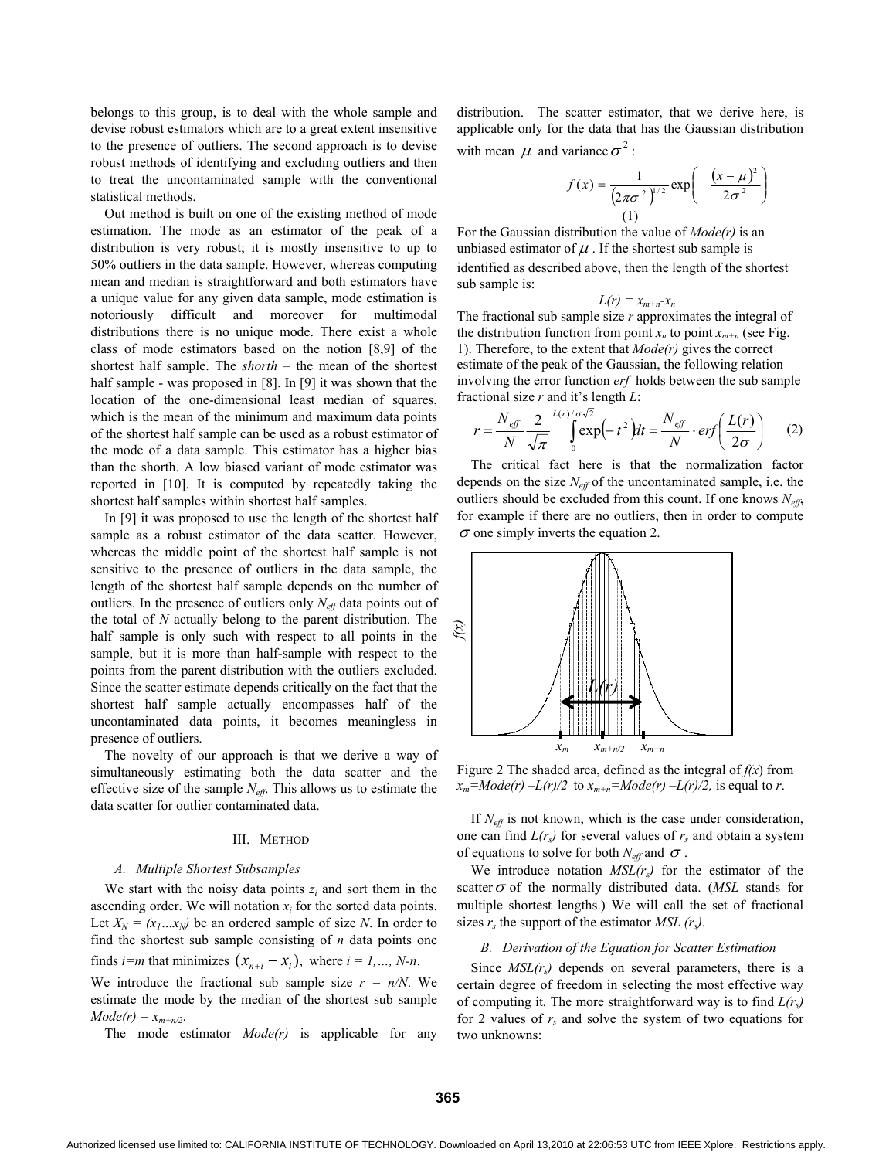belongs to this group, is to deal with the whole sample and devise robust estimators which are to a great extent insensitive to the presence of outliers. The second approach is to devise robust methods of identifying and excluding outliers and then to treat the uncontaminated sample with the conventional statistical methods.

Out method is built on one of the existing method of mode estimation. The mode as an estimator of the peak of a distribution is very robust; it is mostly insensitive to up to 50% outliers in the data sample. However, whereas computing mean and median is straightforward and both estimators have a unique value for any given data sample, mode estimation is notoriously difficult and moreover for multimodal distributions there is no unique mode. There exist a whole class of mode estimators based on the notion [8,9] of the shortest half sample. The *shorth* – the mean of the shortest half sample - was proposed in [8]. In [9] it was shown that the location of the one-dimensional least median of squares, which is the mean of the minimum and maximum data points of the shortest half sample can be used as a robust estimator of the mode of a data sample. This estimator has a higher bias than the shorth. A low biased variant of mode estimator was reported in [10]. It is computed by repeatedly taking the shortest half samples within shortest half samples.

In [9] it was proposed to use the length of the shortest half sample as a robust estimator of the data scatter. However, whereas the middle point of the shortest half sample is not sensitive to the presence of outliers in the data sample, the length of the shortest half sample depends on the number of outliers. In the presence of outliers only *Neff* data points out of the total of *N* actually belong to the parent distribution. The half sample is only such with respect to all points in the sample, but it is more than half-sample with respect to the points from the parent distribution with the outliers excluded. Since the scatter estimate depends critically on the fact that the shortest half sample actually encompasses half of the uncontaminated data points, it becomes meaningless in presence of outliers.

The novelty of our approach is that we derive a way of simultaneously estimating both the data scatter and the effective size of the sample *Neff*. This allows us to estimate the data scatter for outlier contaminated data.

#### III. METHOD

# *A. Multiple Shortest Subsamples*

We start with the noisy data points  $z_i$  and sort them in the ascending order. We will notation  $x_i$  for the sorted data points. Let  $X_N = (x_1...x_N)$  be an ordered sample of size *N*. In order to find the shortest sub sample consisting of *n* data points one finds *i*=*m* that minimizes  $(x_{n+i} - x_i)$ , where *i* = 1, ..., *N*-*n*. We introduce the fractional sub sample size  $r = n/N$ . We estimate the mode by the median of the shortest sub sample *Mode(r)* =  $x_{m+n/2}$ .

The mode estimator *Mode(r)* is applicable for any

distribution. The scatter estimator, that we derive here, is applicable only for the data that has the Gaussian distribution with mean  $\mu$  and variance  $\sigma^2$  :

$$
f(x) = \frac{1}{\left(2\pi\sigma^2\right)^{1/2}} \exp\left(-\frac{\left(x-\mu\right)^2}{2\sigma^2}\right)
$$
  
(1)

For the Gaussian distribution the value of *Mode(r)* is an unbiased estimator of  $\mu$ . If the shortest sub sample is identified as described above, then the length of the shortest sub sample is:

$$
L(r)=x_{m+n}-x_n
$$

The fractional sub sample size *r* approximates the integral of the distribution function from point  $x_n$  to point  $x_{m+n}$  (see Fig. 1). Therefore, to the extent that *Mode(r)* gives the correct estimate of the peak of the Gaussian, the following relation involving the error function *erf* holds between the sub sample fractional size *r* and it's length *L*:

$$
r = \frac{N_{\text{eff}}}{N} \frac{2}{\sqrt{\pi}} \int_{0}^{L(r)/\sigma \sqrt{2}} \exp\left(-t^2\right) dt = \frac{N_{\text{eff}}}{N} \cdot \text{erf}\left(\frac{L(r)}{2\sigma}\right) \tag{2}
$$

The critical fact here is that the normalization factor depends on the size *Neff* of the uncontaminated sample, i.e. the outliers should be excluded from this count. If one knows *Neff*, for example if there are no outliers, then in order to compute  $\sigma$  one simply inverts the equation 2.



Figure 2 The shaded area, defined as the integral of *f(x*) from  $x_m = Mode(r) - L(r)/2$  to  $x_{m+n} = Mode(r) - L(r)/2$ , is equal to *r*.

If  $N_{\text{eff}}$  is not known, which is the case under consideration, one can find  $L(r_s)$  for several values of  $r_s$  and obtain a system of equations to solve for both  $N_{\text{eff}}$  and  $\sigma$ .

We introduce notation  $MSL(r<sub>s</sub>)$  for the estimator of the scatter  $\sigma$  of the normally distributed data. (*MSL* stands for multiple shortest lengths.) We will call the set of fractional sizes  $r_s$  the support of the estimator *MSL*  $(r_s)$ .

## *B. Derivation of the Equation for Scatter Estimation*

Since  $MSL(r<sub>s</sub>)$  depends on several parameters, there is a certain degree of freedom in selecting the most effective way of computing it. The more straightforward way is to find  $L(r_s)$ for 2 values of *rs* and solve the system of two equations for two unknowns: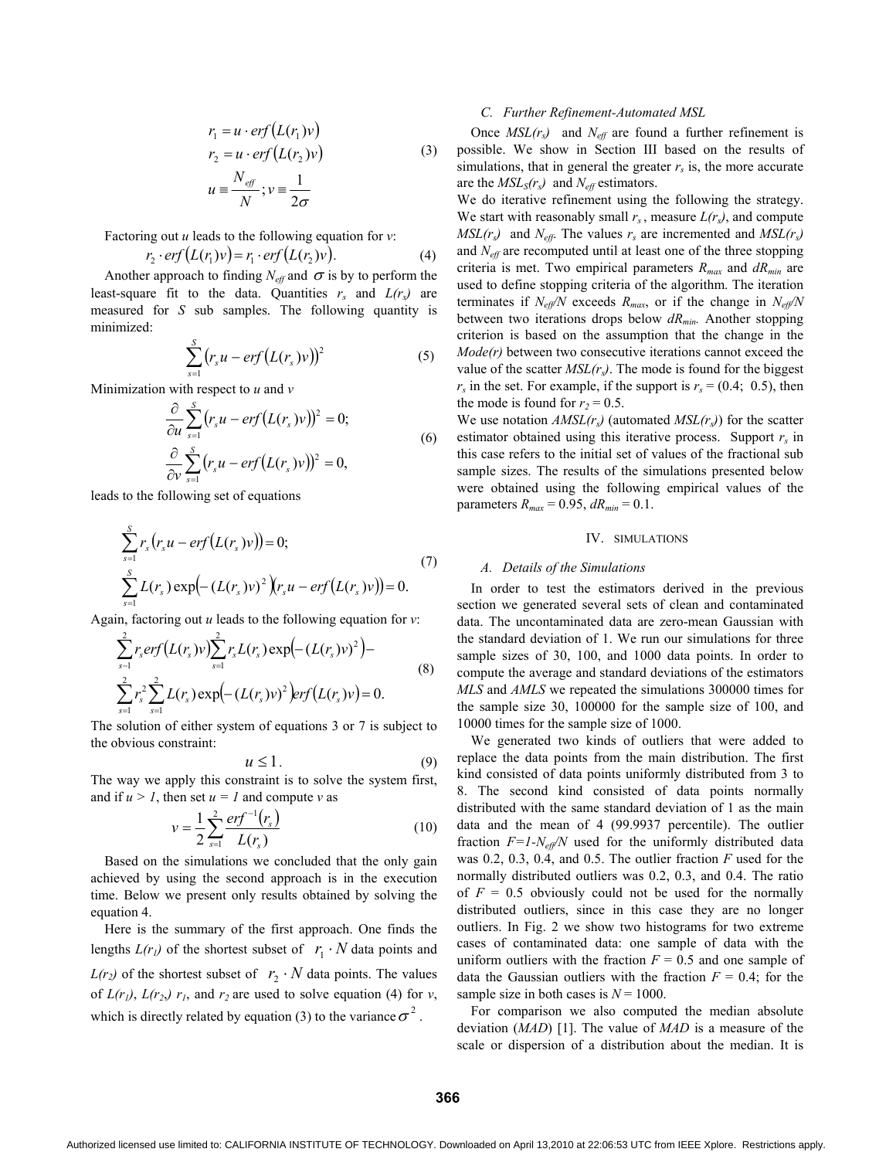$$
r_1 = u \cdot erf(L(r_1)v)
$$
  
\n
$$
r_2 = u \cdot erf(L(r_2)v)
$$
  
\n
$$
u = \frac{N_{\text{eff}}}{N}; v = \frac{1}{2\sigma}
$$
\n(3)

Factoring out *u* leads to the following equation for *v*:

$$
r_2 \cdot erf(L(r_1)v) = r_1 \cdot erf(L(r_2)v). \tag{4}
$$

Another approach to finding  $N_{\text{eff}}$  and  $\sigma$  is by to perform the least-square fit to the data. Quantities  $r_s$  and  $L(r_s)$  are measured for *S* sub samples. The following quantity is minimized:

$$
\sum_{s=1}^{S} (r_s u - erf(L(r_s)v))^2
$$
 (5)

Minimization with respect to *u* and *v*

$$
\frac{\partial}{\partial u} \sum_{s=1}^{S} (r_s u - erf(L(r_s)v))^2 = 0;
$$
\n
$$
\frac{\partial}{\partial v} \sum_{s=1}^{S} (r_s u - erf(L(r_s)v))^2 = 0,
$$
\n(6)

leads to the following set of equations

$$
\sum_{s=1}^{S} r_s (r_s u - erf(L(r_s)v)) = 0;
$$
\n
$$
\sum_{s=1}^{S} L(r_s) \exp(-(L(r_s)v)^2) (r_s u - erf(L(r_s)v)) = 0.
$$
\n(7)

Again, factoring out *u* leads to the following equation for *v*:

$$
\sum_{s=1}^{2} r_s erf(L(r_s)v) \sum_{s=1}^{2} r_s L(r_s) \exp(-(L(r_s)v)^2) -
$$
\n
$$
\sum_{s=1}^{2} r_s^2 \sum_{s=1}^{2} L(r_s) \exp(-(L(r_s)v)^2) erf(L(r_s)v) = 0.
$$
\n(8)

The solution of either system of equations 3 or 7 is subject to the obvious constraint:

$$
u \le 1. \tag{9}
$$

The way we apply this constraint is to solve the system first, and if  $u > 1$ , then set  $u = 1$  and compute  $v$  as

$$
v = \frac{1}{2} \sum_{s=1}^{2} \frac{erf^{-1}(r_s)}{L(r_s)}
$$
(10)

Based on the simulations we concluded that the only gain achieved by using the second approach is in the execution time. Below we present only results obtained by solving the equation 4.

Here is the summary of the first approach. One finds the lengths  $L(r_1)$  of the shortest subset of  $r_1 \cdot N$  data points and *L(r<sub>2</sub>)* of the shortest subset of  $r_2 \cdot N$  data points. The values of  $L(r_1)$ ,  $L(r_2)$ ,  $r_1$ , and  $r_2$  are used to solve equation (4) for *v*, which is directly related by equation (3) to the variance  $\sigma^2$ .

# *C. Further Refinement-Automated MSL*

Once  $MSL(r_s)$  and  $N_{\text{eff}}$  are found a further refinement is possible. We show in Section III based on the results of simulations, that in general the greater  $r<sub>s</sub>$  is, the more accurate are the  $MSL_S(r_s)$  and  $N_{\text{eff}}$  estimators.

We do iterative refinement using the following the strategy. We start with reasonably small  $r_s$ , measure  $L(r_s)$ , and compute  $MSL(r<sub>s</sub>)$  and  $N<sub>eff</sub>$ . The values  $r<sub>s</sub>$  are incremented and  $MSL(r<sub>s</sub>)$ and *Neff* are recomputed until at least one of the three stopping criteria is met. Two empirical parameters *Rmax* and *dRmin* are used to define stopping criteria of the algorithm. The iteration terminates if  $N_{\text{eff}}/N$  exceeds  $R_{\text{max}}$ , or if the change in  $N_{\text{eff}}/N$ between two iterations drops below *dRmin.* Another stopping criterion is based on the assumption that the change in the *Mode(r)* between two consecutive iterations cannot exceed the value of the scatter  $MSL(r<sub>s</sub>)$ . The mode is found for the biggest  $r<sub>s</sub>$  in the set. For example, if the support is  $r<sub>s</sub> = (0.4; 0.5)$ , then the mode is found for  $r_2 = 0.5$ .

We use notation *AMSL(rs)* (automated *MSL(rs)*) for the scatter estimator obtained using this iterative process. Support  $r<sub>s</sub>$  in this case refers to the initial set of values of the fractional sub sample sizes. The results of the simulations presented below were obtained using the following empirical values of the parameters  $R_{max} = 0.95$ ,  $dR_{min} = 0.1$ .

# IV. SIMULATIONS

#### *A. Details of the Simulations*

In order to test the estimators derived in the previous section we generated several sets of clean and contaminated data. The uncontaminated data are zero-mean Gaussian with the standard deviation of 1. We run our simulations for three sample sizes of 30, 100, and 1000 data points. In order to compute the average and standard deviations of the estimators *MLS* and *AMLS* we repeated the simulations 300000 times for the sample size 30, 100000 for the sample size of 100, and 10000 times for the sample size of 1000.

We generated two kinds of outliers that were added to replace the data points from the main distribution. The first kind consisted of data points uniformly distributed from 3 to 8. The second kind consisted of data points normally distributed with the same standard deviation of 1 as the main data and the mean of 4 (99.9937 percentile). The outlier fraction  $F=1-N_{\text{eff}}/N$  used for the uniformly distributed data was 0.2, 0.3, 0.4, and 0.5. The outlier fraction *F* used for the normally distributed outliers was 0.2, 0.3, and 0.4. The ratio of  $F = 0.5$  obviously could not be used for the normally distributed outliers, since in this case they are no longer outliers. In Fig. 2 we show two histograms for two extreme cases of contaminated data: one sample of data with the uniform outliers with the fraction  $F = 0.5$  and one sample of data the Gaussian outliers with the fraction  $F = 0.4$ ; for the sample size in both cases is  $N = 1000$ .

For comparison we also computed the median absolute deviation (*MAD*) [1]. The value of *MAD* is a measure of the scale or dispersion of a distribution about the median. It is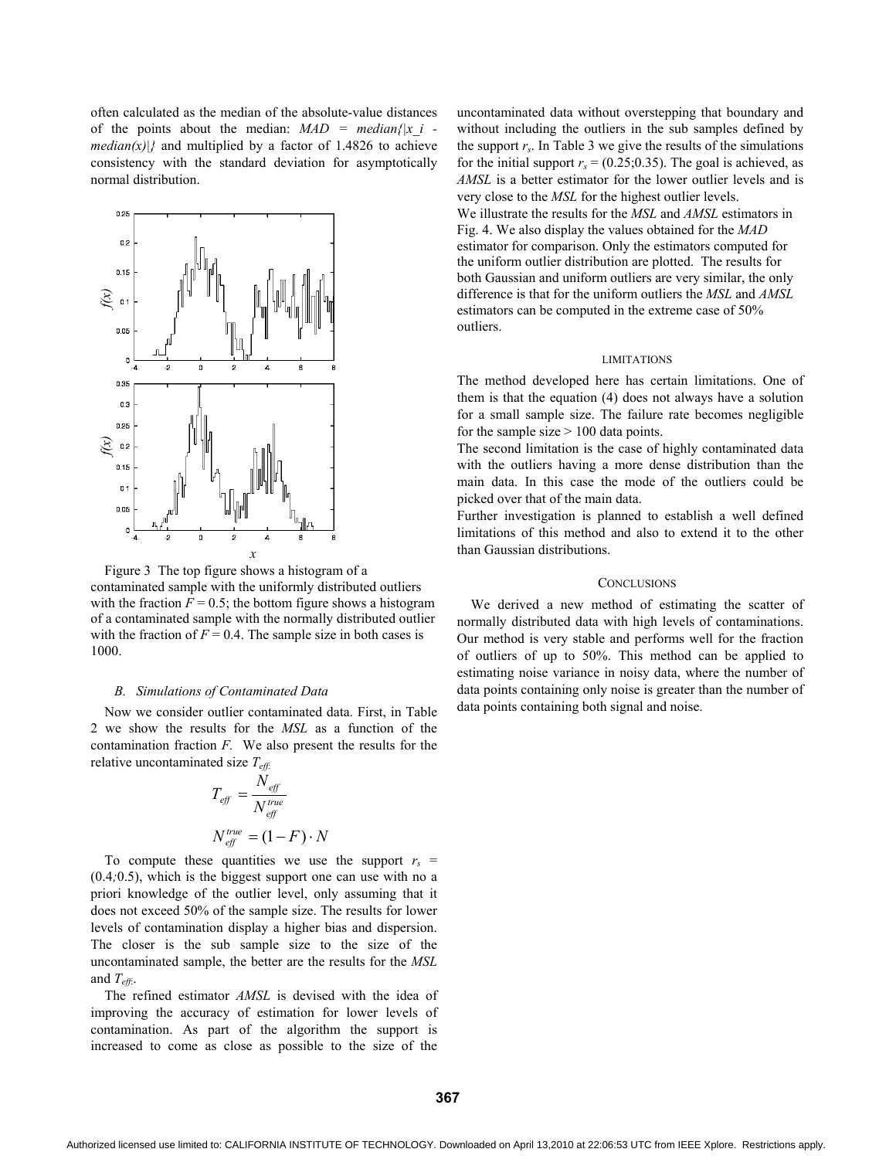often calculated as the median of the absolute-value distances of the points about the median:  $MAD = median/|x_i - y_i|$ *median(x)|}* and multiplied by a factor of 1.4826 to achieve consistency with the standard deviation for asymptotically normal distribution.



Figure 3 The top figure shows a histogram of a contaminated sample with the uniformly distributed outliers with the fraction  $F = 0.5$ ; the bottom figure shows a histogram of a contaminated sample with the normally distributed outlier with the fraction of  $F = 0.4$ . The sample size in both cases is 1000.

## *B. Simulations of Contaminated Data*

Now we consider outlier contaminated data. First, in Table 2 we show the results for the *MSL* as a function of the contamination fraction *F.* We also present the results for the relative uncontaminated size *Teff*:

$$
T_{\text{eff}} = \frac{N_{\text{eff}}}{N_{\text{eff}}^{\text{true}}}
$$

$$
N_{\text{eff}}^{\text{true}} = (1 - F) \cdot N
$$

To compute these quantities we use the support  $r_s$  = (0.4*;*0.5), which is the biggest support one can use with no a priori knowledge of the outlier level, only assuming that it does not exceed 50% of the sample size. The results for lower levels of contamination display a higher bias and dispersion. The closer is the sub sample size to the size of the uncontaminated sample, the better are the results for the *MSL* and  $T_{\text{eff}}$ .

The refined estimator *AMSL* is devised with the idea of improving the accuracy of estimation for lower levels of contamination. As part of the algorithm the support is increased to come as close as possible to the size of the

uncontaminated data without overstepping that boundary and without including the outliers in the sub samples defined by the support  $r_s$ . In Table 3 we give the results of the simulations for the initial support  $r_s = (0.25; 0.35)$ . The goal is achieved, as *AMSL* is a better estimator for the lower outlier levels and is very close to the *MSL* for the highest outlier levels. We illustrate the results for the *MSL* and *AMSL* estimators in Fig. 4. We also display the values obtained for the *MAD* estimator for comparison. Only the estimators computed for the uniform outlier distribution are plotted. The results for both Gaussian and uniform outliers are very similar, the only difference is that for the uniform outliers the *MSL* and *AMSL* estimators can be computed in the extreme case of 50% outliers.

#### LIMITATIONS

The method developed here has certain limitations. One of them is that the equation (4) does not always have a solution for a small sample size. The failure rate becomes negligible for the sample size  $> 100$  data points.

The second limitation is the case of highly contaminated data with the outliers having a more dense distribution than the main data. In this case the mode of the outliers could be picked over that of the main data.

Further investigation is planned to establish a well defined limitations of this method and also to extend it to the other than Gaussian distributions.

# **CONCLUSIONS**

We derived a new method of estimating the scatter of normally distributed data with high levels of contaminations. Our method is very stable and performs well for the fraction of outliers of up to 50%. This method can be applied to estimating noise variance in noisy data, where the number of data points containing only noise is greater than the number of data points containing both signal and noise.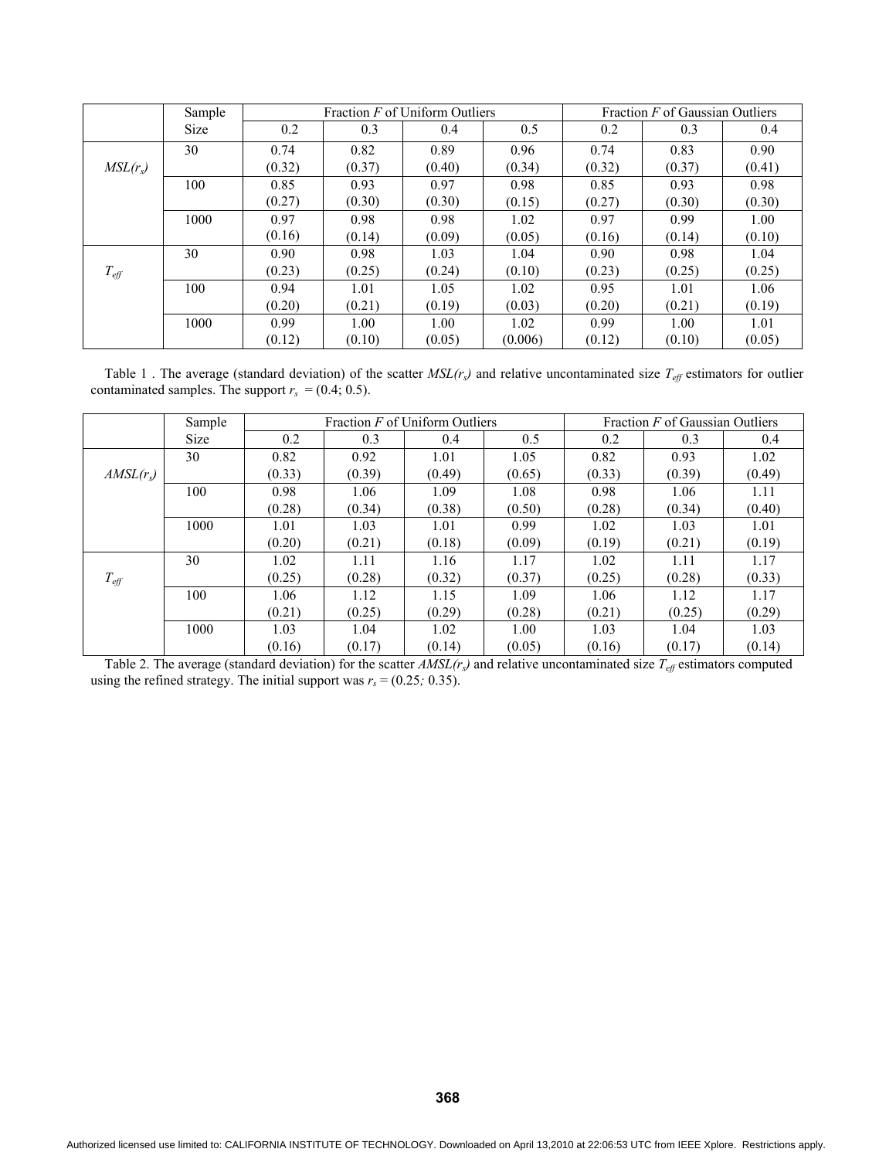|               | Sample |        |        | Fraction $F$ of Uniform Outliers | Fraction F of Gaussian Outliers |        |        |        |
|---------------|--------|--------|--------|----------------------------------|---------------------------------|--------|--------|--------|
|               | Size   | 0.2    | 0.3    | 0.4                              | 0.5                             | 0.2    | 0.3    | 0.4    |
|               | 30     | 0.74   | 0.82   | 0.89                             | 0.96                            | 0.74   | 0.83   | 0.90   |
| $MSL(r_s)$    |        | (0.32) | (0.37) | (0.40)                           | (0.34)                          | (0.32) | (0.37) | (0.41) |
|               | 100    | 0.85   | 0.93   | 0.97                             | 0.98                            | 0.85   | 0.93   | 0.98   |
|               |        | (0.27) | (0.30) | (0.30)                           | (0.15)                          | (0.27) | (0.30) | (0.30) |
|               | 1000   | 0.97   | 0.98   | 0.98                             | 1.02                            | 0.97   | 0.99   | 1.00   |
|               |        | (0.16) | (0.14) | (0.09)                           | (0.05)                          | (0.16) | (0.14) | (0.10) |
|               | 30     | 0.90   | 0.98   | 1.03                             | 1.04                            | 0.90   | 0.98   | 1.04   |
| $T_{\it eff}$ |        | (0.23) | (0.25) | (0.24)                           | (0.10)                          | (0.23) | (0.25) | (0.25) |
|               | 100    | 0.94   | 1.01   | 1.05                             | 1.02                            | 0.95   | 1.01   | 1.06   |
|               |        | (0.20) | (0.21) | (0.19)                           | (0.03)                          | (0.20) | (0.21) | (0.19) |
|               | 1000   | 0.99   | 1.00   | 1.00                             | 1.02                            | 0.99   | 1.00   | 1.01   |
|               |        | (0.12) | (0.10) | (0.05)                           | (0.006)                         | (0.12) | (0.10) | (0.05) |

Table 1. The average (standard deviation) of the scatter  $MSL(r_s)$  and relative uncontaminated size  $T_{eff}$  estimators for outlier contaminated samples. The support  $r_s = (0.4; 0.5)$ .

|                  | Sample      |        |        | Fraction F of Uniform Outliers | Fraction $F$ of Gaussian Outliers |        |        |        |
|------------------|-------------|--------|--------|--------------------------------|-----------------------------------|--------|--------|--------|
|                  | <b>Size</b> | 0.2    | 0.3    | 0.4                            | 0.5                               | 0.2    | 0.3    | 0.4    |
|                  | 30          | 0.82   | 0.92   | 1.01                           | 1.05                              | 0.82   | 0.93   | 1.02   |
| $AMSL(r_s)$      |             | (0.33) | (0.39) | (0.49)                         | (0.65)                            | (0.33) | (0.39) | (0.49) |
|                  | 100         | 0.98   | 1.06   | 1.09                           | 1.08                              | 0.98   | 1.06   | 1.11   |
|                  |             | (0.28) | (0.34) | (0.38)                         | (0.50)                            | (0.28) | (0.34) | (0.40) |
|                  | 1000        | 1.01   | 1.03   | 1.01                           | 0.99                              | 1.02   | 1.03   | 1.01   |
|                  |             | (0.20) | (0.21) | (0.18)                         | (0.09)                            | (0.19) | (0.21) | (0.19) |
|                  | 30          | 1.02   | 1.11   | 1.16                           | 1.17                              | 1.02   | 1.11   | 1.17   |
| $T_{\text{eff}}$ |             | (0.25) | (0.28) | (0.32)                         | (0.37)                            | (0.25) | (0.28) | (0.33) |
|                  | 100         | 1.06   | 1.12   | 1.15                           | 1.09                              | 1.06   | 1.12   | 1.17   |
|                  |             | (0.21) | (0.25) | (0.29)                         | (0.28)                            | (0.21) | (0.25) | (0.29) |
|                  | 1000        | 1.03   | 1.04   | 1.02                           | 1.00                              | 1.03   | 1.04   | 1.03   |
|                  |             | (0.16) | (0.17) | (0.14)                         | (0.05)                            | (0.16) | (0.17) | (0.14) |

Table 2. The average (standard deviation) for the scatter  $AMSL(r<sub>s</sub>)$  and relative uncontaminated size  $T_{eff}$  estimators computed using the refined strategy. The initial support was  $r_s = (0.25; 0.35)$ .